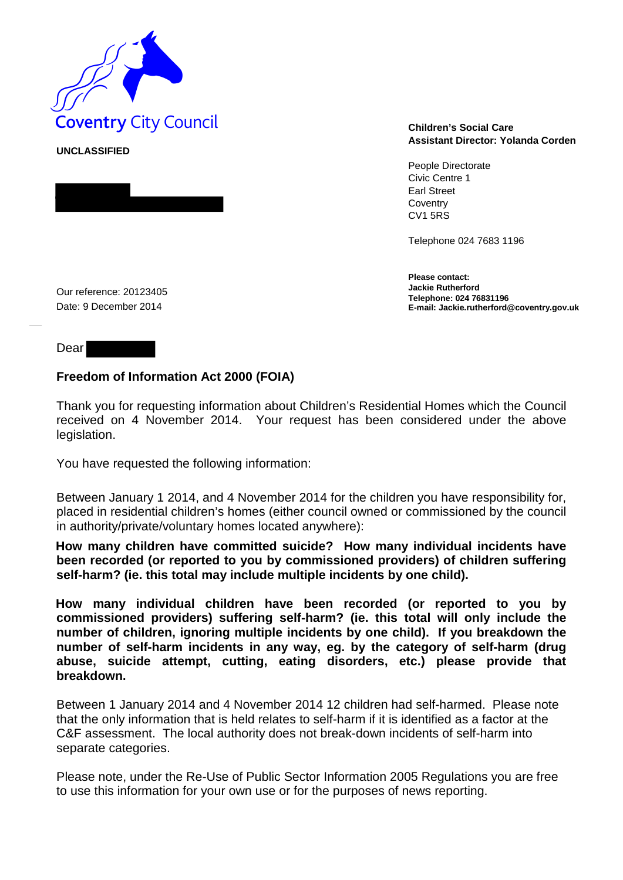

**UNCLASSIFIED** 

**Assistant Director: Yolanda Corden**

People Directorate Civic Centre 1 Earl Street **Coventry** CV1 5RS

Telephone 024 7683 1196

**Please contact: Jackie Rutherford Telephone: 024 76831196 E-mail: Jackie.rutherford@coventry.gov.uk**

Our reference: 20123405 Date: 9 December 2014

Dear

## **Freedom of Information Act 2000 (FOIA)**

Thank you for requesting information about Children's Residential Homes which the Council received on 4 November 2014. Your request has been considered under the above legislation.

You have requested the following information:

Between January 1 2014, and 4 November 2014 for the children you have responsibility for, placed in residential children's homes (either council owned or commissioned by the council in authority/private/voluntary homes located anywhere):

**How many children have committed suicide? How many individual incidents have been recorded (or reported to you by commissioned providers) of children suffering self-harm? (ie. this total may include multiple incidents by one child).** 

**How many individual children have been recorded (or reported to you by commissioned providers) suffering self-harm? (ie. this total will only include the number of children, ignoring multiple incidents by one child). If you breakdown the number of self-harm incidents in any way, eg. by the category of self-harm (drug abuse, suicide attempt, cutting, eating disorders, etc.) please provide that breakdown.** 

Between 1 January 2014 and 4 November 2014 12 children had self-harmed. Please note that the only information that is held relates to self-harm if it is identified as a factor at the C&F assessment. The local authority does not break-down incidents of self-harm into separate categories.

Please note, under the Re-Use of Public Sector Information 2005 Regulations you are free to use this information for your own use or for the purposes of news reporting.